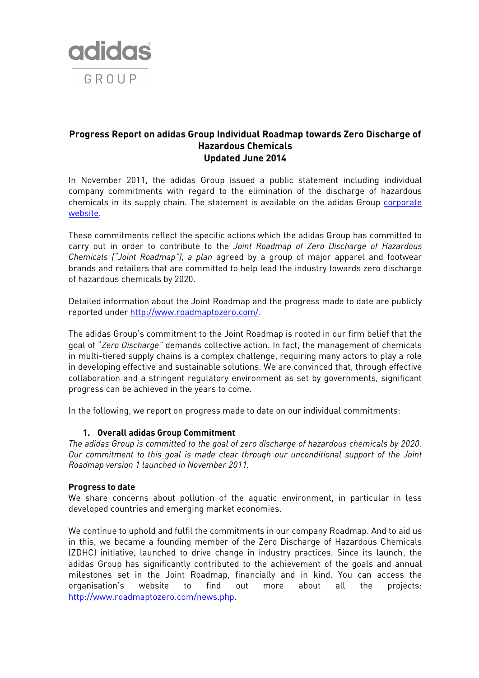

# **Progress Report on adidas Group Individual Roadmap towards Zero Discharge of Hazardous Chemicals Updated June 2014**

In November 2011, the adidas Group issued a public statement including individual company commitments with regard to the elimination of the discharge of hazardous chemicals in its supply chain. The statement is available on the adidas Group corporate [website.](http://www.adidas-group.com/media/filer_public/2013/07/31/ag_individual_roadmap_november_18_2011_en.pdf)

These commitments reflect the specific actions which the adidas Group has committed to carry out in order to contribute to the *Joint Roadmap of Zero Discharge of Hazardous Chemicals ("Joint Roadmap"), a plan* agreed by a group of major apparel and footwear brands and retailers that are committed to help lead the industry towards zero discharge of hazardous chemicals by 2020.

Detailed information about the Joint Roadmap and the progress made to date are publicly reported under [http://www.roadmaptozero.com/.](http://www.roadmaptozero.com/)

The adidas Group's commitment to the Joint Roadmap is rooted in our firm belief that the goal of "*Zero Discharge"* demands collective action. In fact, the management of chemicals in multi-tiered supply chains is a complex challenge, requiring many actors to play a role in developing effective and sustainable solutions. We are convinced that, through effective collaboration and a stringent regulatory environment as set by governments, significant progress can be achieved in the years to come.

In the following, we report on progress made to date on our individual commitments:

### **1. Overall adidas Group Commitment**

*The adidas Group is committed to the goal of zero discharge of hazardous chemicals by 2020. Our commitment to this goal is made clear through our unconditional support of the Joint Roadmap version 1 launched in November 2011.*

#### **Progress to date**

We share concerns about pollution of the aquatic environment, in particular in less developed countries and emerging market economies.

We continue to uphold and fulfil the commitments in our company Roadmap. And to aid us in this, we became a founding member of the Zero Discharge of Hazardous Chemicals (ZDHC) initiative, launched to drive change in industry practices. Since its launch, the adidas Group has significantly contributed to the achievement of the goals and annual milestones set in the Joint Roadmap, financially and in kind. You can access the organisation's website to find out more about all the projects: [http://www.roadmaptozero.com/news.php.](http://www.roadmaptozero.com/news.php)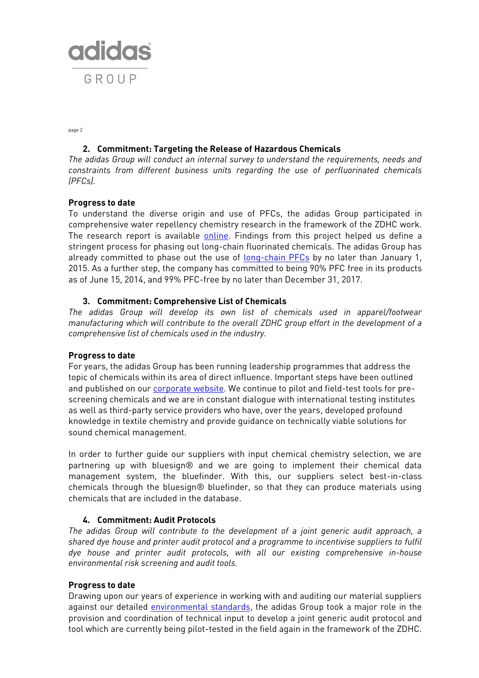

page 2

# **2. Commitment: Targeting the Release of Hazardous Chemicals**

*The adidas Group will conduct an internal survey to understand the requirements, needs and constraints from different business units regarding the use of perfluorinated chemicals (PFCs).*

### **Progress to date**

To understand the diverse origin and use of PFCs, the adidas Group participated in comprehensive water repellency chemistry research in the framework of the ZDHC work. The research report is available [online.](http://www.roadmaptozero.com/programme-documents.php) Findings from this project helped us define a stringent process for phasing out long-chain fluorinated chemicals. The adidas Group has already committed to phase out the use of [long-chain PFCs](http://www.adidas-group.com/en/media/news-archive/sustainability-news/2013/statement-phase-out-long-chain-fluorinated-chemicals/) by no later than January 1, 2015. As a further step, the company has committed to being 90% PFC free in its products as of June 15, 2014, and 99% PFC-free by no later than December 31, 2017.

### **3. Commitment: Comprehensive List of Chemicals**

*The adidas Group will develop its own list of chemicals used in apparel/footwear manufacturing which will contribute to the overall ZDHC group effort in the development of a comprehensive list of chemicals used in the industry.*

### **Progress to date**

For years, the adidas Group has been running leadership programmes that address the topic of chemicals within its area of direct influence. Important steps have been outlined and published on our [corporate website.](http://www.adidas-group.com/media/filer_public/2014/06/10/adidas_group_chemical_management_2014_en.pdf) We continue to pilot and field-test tools for prescreening chemicals and we are in constant dialogue with international testing institutes as well as third-party service providers who have, over the years, developed profound knowledge in textile chemistry and provide guidance on technically viable solutions for sound chemical management.

In order to further guide our suppliers with input chemical chemistry selection, we are partnering up with bluesign® and we are going to implement their chemical data management system, the bluefinder. With this, our suppliers select best-in-class chemicals through the bluesign® bluefinder, so that they can produce materials using chemicals that are included in the database.

### **4. Commitment: Audit Protocols**

*The adidas Group will contribute to the development of a joint generic audit approach, a shared dye house and printer audit protocol and a programme to incentivise suppliers to fulfil dye house and printer audit protocols, with all our existing comprehensive in-house environmental risk screening and audit tools.*

### **Progress to date**

Drawing upon our years of experience in working with and auditing our material suppliers against our detailed [environmental standards,](http://www.adidas-group.com/media/filer_public/2013/07/31/environmental_guidelines_english.pdf) the adidas Group took a major role in the provision and coordination of technical input to develop a joint generic audit protocol and tool which are currently being pilot-tested in the field again in the framework of the ZDHC.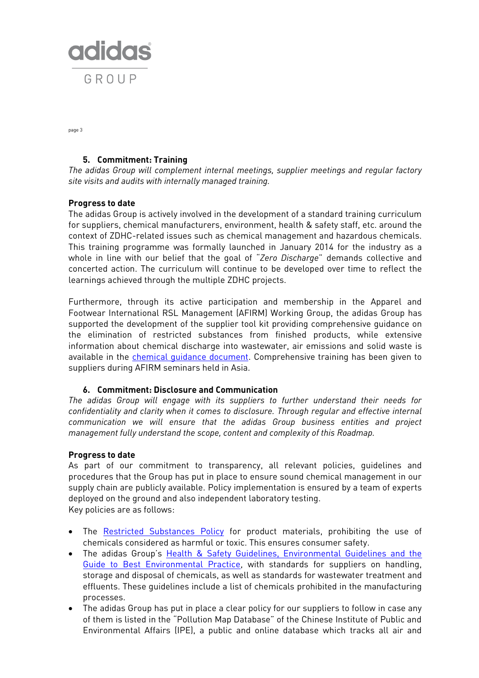

page 3

# **5. Commitment: Training**

*The adidas Group will complement internal meetings, supplier meetings and regular factory site visits and audits with internally managed training.*

# **Progress to date**

The adidas Group is actively involved in the development of a standard training curriculum for suppliers, chemical manufacturers, environment, health & safety staff, etc. around the context of ZDHC-related issues such as chemical management and hazardous chemicals. This training programme was formally launched in January 2014 for the industry as a whole in line with our belief that the goal of "*Zero Discharge*" demands collective and concerted action. The curriculum will continue to be developed over time to reflect the learnings achieved through the multiple ZDHC projects.

Furthermore, through its active participation and membership in the Apparel and Footwear International RSL Management (AFIRM) Working Group, the adidas Group has supported the development of the supplier tool kit providing comprehensive guidance on the elimination of restricted substances from finished products, while extensive information about chemical discharge into wastewater, air emissions and solid waste is available in the [chemical guidance document.](http://www.afirm-group.com/wp-content/uploads/2013/04/AFIRMSupplierToolkit.pdf) Comprehensive training has been given to suppliers during AFIRM seminars held in Asia.

### **6. Commitment: Disclosure and Communication**

*The adidas Group will engage with its suppliers to further understand their needs for confidentiality and clarity when it comes to disclosure. Through regular and effective internal communication we will ensure that the adidas Group business entities and project management fully understand the scope, content and complexity of this Roadmap.*

### **Progress to date**

As part of our commitment to transparency, all relevant policies, guidelines and procedures that the Group has put in place to ensure sound chemical management in our supply chain are publicly available. Policy implementation is ensured by a team of experts deployed on the ground and also independent laboratory testing. Key policies are as follows:

- The [Restricted Substances Policy](http://www.adidas-group.com/en/sustainability/products/materials/) for product materials, prohibiting the use of chemicals considered as harmful or toxic. This ensures consumer safety.
- The adidas Group's Health & Safety Guidelines, Environmental Guidelines and the [Guide to Best Environmental Practice,](http://www.adidas-group.com/en/sustainability/supply-chain/standards-and-policies/) with standards for suppliers on handling, storage and disposal of chemicals, as well as standards for wastewater treatment and effluents. These guidelines include a list of chemicals prohibited in the manufacturing processes.
- The adidas Group has put in place a clear policy for our suppliers to follow in case any of them is listed in the "Pollution Map Database" of the Chinese Institute of Public and Environmental Affairs (IPE), a public and online database which tracks all air and